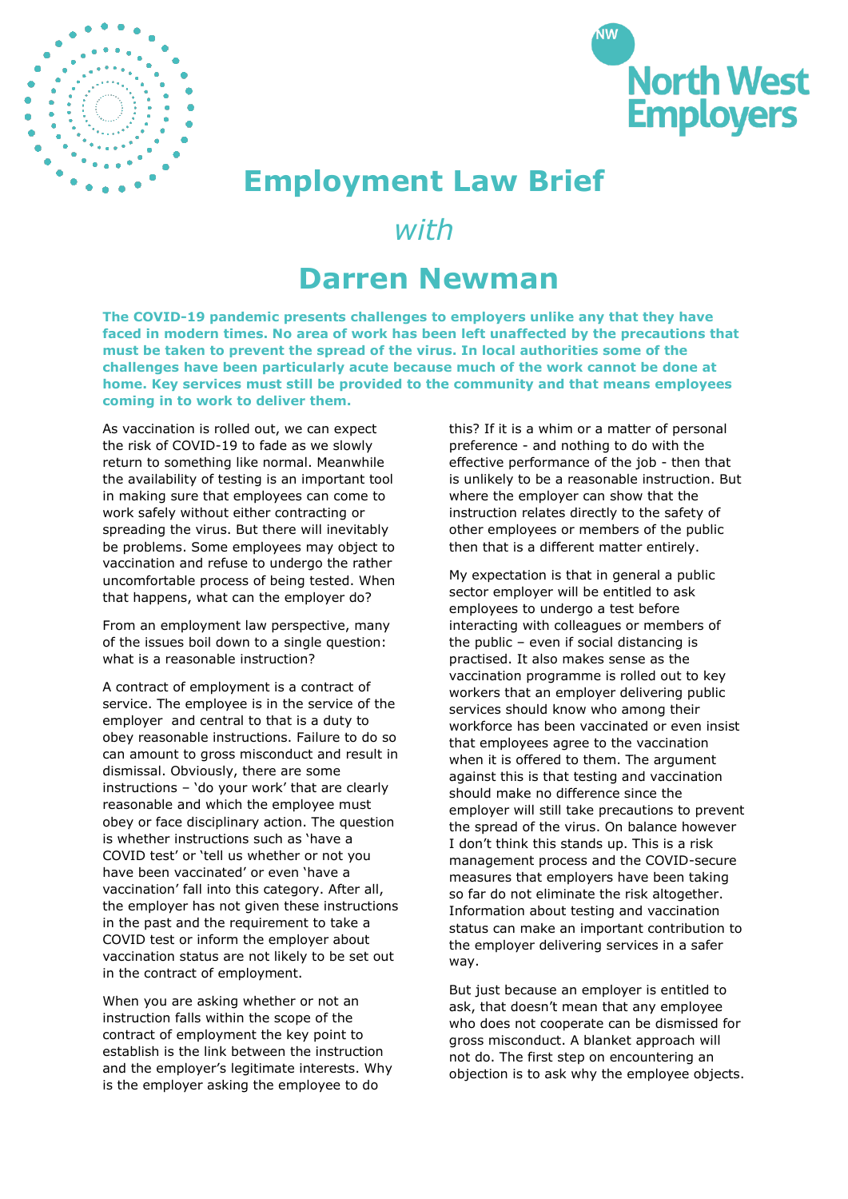



## **Employment Law Brief**

## *with*

## **Darren Newman**

**The COVID-19 pandemic presents challenges to employers unlike any that they have faced in modern times. No area of work has been left unaffected by the precautions that must be taken to prevent the spread of the virus. In local authorities some of the challenges have been particularly acute because much of the work cannot be done at home. Key services must still be provided to the community and that means employees coming in to work to deliver them.** 

As vaccination is rolled out, we can expect the risk of COVID-19 to fade as we slowly return to something like normal. Meanwhile the availability of testing is an important tool in making sure that employees can come to work safely without either contracting or spreading the virus. But there will inevitably be problems. Some employees may object to vaccination and refuse to undergo the rather uncomfortable process of being tested. When that happens, what can the employer do?

From an employment law perspective, many of the issues boil down to a single question: what is a reasonable instruction?

A contract of employment is a contract of service. The employee is in the service of the employer and central to that is a duty to obey reasonable instructions. Failure to do so can amount to gross misconduct and result in dismissal. Obviously, there are some instructions – 'do your work' that are clearly reasonable and which the employee must obey or face disciplinary action. The question is whether instructions such as 'have a COVID test' or 'tell us whether or not you have been vaccinated' or even 'have a vaccination' fall into this category. After all, the employer has not given these instructions in the past and the requirement to take a COVID test or inform the employer about vaccination status are not likely to be set out in the contract of employment.

When you are asking whether or not an instruction falls within the scope of the contract of employment the key point to establish is the link between the instruction and the employer's legitimate interests. Why is the employer asking the employee to do

this? If it is a whim or a matter of personal preference - and nothing to do with the effective performance of the job - then that is unlikely to be a reasonable instruction. But where the employer can show that the instruction relates directly to the safety of other employees or members of the public then that is a different matter entirely.

My expectation is that in general a public sector employer will be entitled to ask employees to undergo a test before interacting with colleagues or members of the public – even if social distancing is practised. It also makes sense as the vaccination programme is rolled out to key workers that an employer delivering public services should know who among their workforce has been vaccinated or even insist that employees agree to the vaccination when it is offered to them. The argument against this is that testing and vaccination should make no difference since the employer will still take precautions to prevent the spread of the virus. On balance however I don't think this stands up. This is a risk management process and the COVID-secure measures that employers have been taking so far do not eliminate the risk altogether. Information about testing and vaccination status can make an important contribution to the employer delivering services in a safer way.

But just because an employer is entitled to ask, that doesn't mean that any employee who does not cooperate can be dismissed for gross misconduct. A blanket approach will not do. The first step on encountering an objection is to ask why the employee objects.